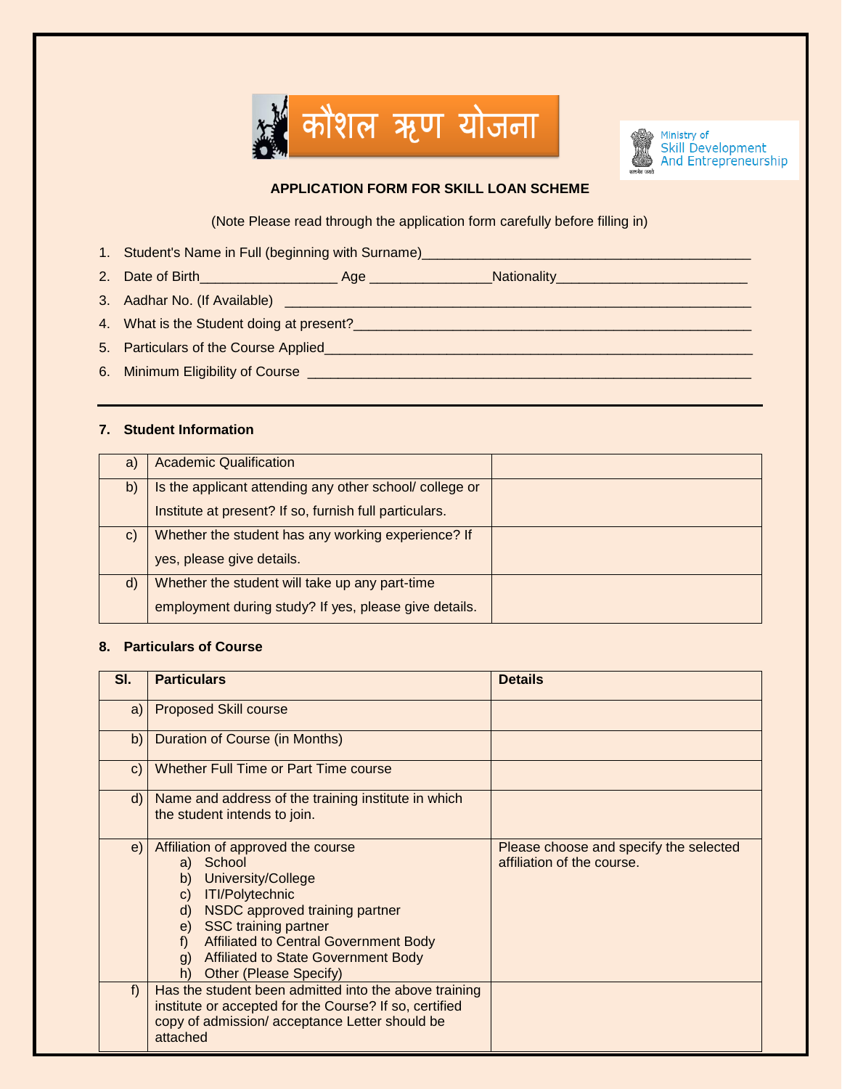



# **APPLICATION FORM FOR SKILL LOAN SCHEME**

(Note Please read through the application form carefully before filling in)

- 1. Student's Name in Full (beginning with Surname)\_\_\_\_\_\_\_\_\_\_\_\_\_\_\_\_\_\_\_\_\_\_\_\_\_\_\_\_\_\_\_\_\_\_\_\_\_\_\_\_\_\_\_
- 2. Date of Birth\_\_\_\_\_\_\_\_\_\_\_\_\_\_\_\_\_\_ Age \_\_\_\_\_\_\_\_\_\_\_\_\_\_\_\_Nationality\_\_\_\_\_\_\_\_\_\_\_\_\_\_\_\_\_\_\_\_\_\_\_\_\_
- 3. Aadhar No. (If Available) \_\_\_\_\_\_\_\_\_\_\_\_\_\_\_\_\_\_\_\_\_\_\_\_\_\_\_\_\_\_\_\_\_\_\_\_\_\_\_\_\_\_\_\_\_\_\_\_\_\_\_\_\_\_\_\_\_\_\_\_\_
- 4. What is the Student doing at present?\_\_\_\_\_\_\_\_\_\_\_\_\_\_\_\_\_\_\_\_\_\_\_\_\_\_\_\_\_\_\_\_\_\_\_\_\_\_\_\_\_\_\_\_\_\_\_\_\_\_\_\_
- 5. Particulars of the Course Applied\_\_\_\_\_\_\_\_\_\_\_\_\_\_\_\_\_\_\_\_\_\_\_\_\_\_\_\_\_\_\_\_\_\_\_\_\_\_\_\_\_\_\_\_\_\_\_\_\_\_\_\_\_\_\_\_
- 6. Minimum Eligibility of Course \_\_\_\_\_\_\_\_\_\_\_\_\_\_\_\_\_\_\_\_\_\_\_\_\_\_\_\_\_\_\_\_\_\_\_\_\_\_\_\_\_\_\_\_\_\_\_\_\_\_\_\_\_\_\_\_\_\_

## **7. Student Information**

| a)           | <b>Academic Qualification</b>                          |  |
|--------------|--------------------------------------------------------|--|
|              |                                                        |  |
| b)           | Is the applicant attending any other school/college or |  |
|              |                                                        |  |
|              | Institute at present? If so, furnish full particulars. |  |
|              |                                                        |  |
| $\mathbf{C}$ | Whether the student has any working experience? If     |  |
|              |                                                        |  |
|              | yes, please give details.                              |  |
|              |                                                        |  |
| $\mathsf{d}$ | Whether the student will take up any part-time         |  |
|              |                                                        |  |
|              | employment during study? If yes, please give details.  |  |
|              |                                                        |  |
|              |                                                        |  |

## **8. Particulars of Course**

| SI. | <b>Particulars</b>                                                                                                                                                                                                                                                                                                                    | <b>Details</b>                                                       |
|-----|---------------------------------------------------------------------------------------------------------------------------------------------------------------------------------------------------------------------------------------------------------------------------------------------------------------------------------------|----------------------------------------------------------------------|
| a)  | <b>Proposed Skill course</b>                                                                                                                                                                                                                                                                                                          |                                                                      |
| b)  | Duration of Course (in Months)                                                                                                                                                                                                                                                                                                        |                                                                      |
| C)  | Whether Full Time or Part Time course                                                                                                                                                                                                                                                                                                 |                                                                      |
| d)  | Name and address of the training institute in which<br>the student intends to join.                                                                                                                                                                                                                                                   |                                                                      |
| e)  | Affiliation of approved the course<br>a) School<br>University/College<br>b)<br><b>ITI/Polytechnic</b><br>$\mathbf{C}$<br>NSDC approved training partner<br>$\mathsf{d}$<br>e) SSC training partner<br><b>Affiliated to Central Government Body</b><br>$f$ )<br>g) Affiliated to State Government Body<br>Other (Please Specify)<br>h) | Please choose and specify the selected<br>affiliation of the course. |
| f   | Has the student been admitted into the above training<br>institute or accepted for the Course? If so, certified<br>copy of admission/acceptance Letter should be<br>attached                                                                                                                                                          |                                                                      |